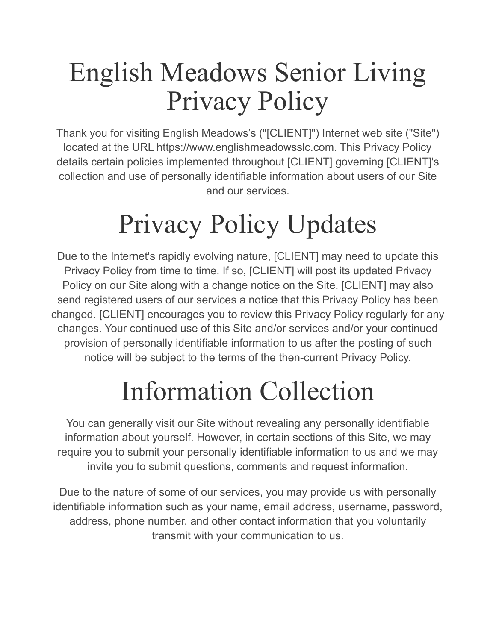## English Meadows Senior Living Privacy Policy

Thank you for visiting English Meadows's ("[CLIENT]") Internet web site ("Site") located at the URL https://www.englishmeadowsslc.com. This Privacy Policy details certain policies implemented throughout [CLIENT] governing [CLIENT]'s collection and use of personally identifiable information about users of our Site and our services.

# Privacy Policy Updates

Due to the Internet's rapidly evolving nature, [CLIENT] may need to update this Privacy Policy from time to time. If so, [CLIENT] will post its updated Privacy Policy on our Site along with a change notice on the Site. [CLIENT] may also send registered users of our services a notice that this Privacy Policy has been changed. [CLIENT] encourages you to review this Privacy Policy regularly for any changes. Your continued use of this Site and/or services and/or your continued provision of personally identifiable information to us after the posting of such notice will be subject to the terms of the then-current Privacy Policy.

## Information Collection

You can generally visit our Site without revealing any personally identifiable information about yourself. However, in certain sections of this Site, we may require you to submit your personally identifiable information to us and we may invite you to submit questions, comments and request information.

Due to the nature of some of our services, you may provide us with personally identifiable information such as your name, email address, username, password, address, phone number, and other contact information that you voluntarily transmit with your communication to us.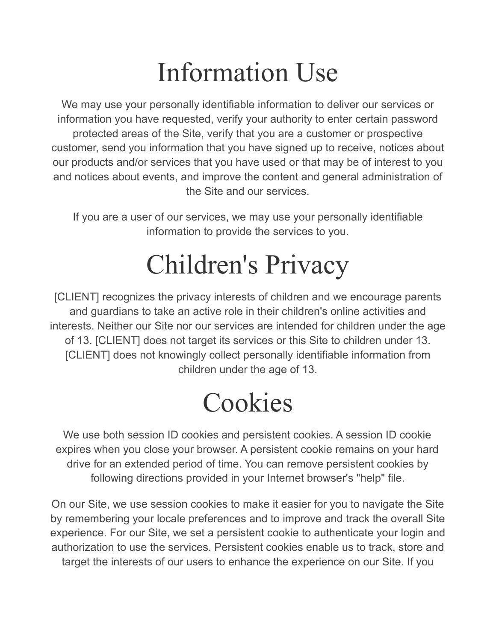## Information Use

We may use your personally identifiable information to deliver our services or information you have requested, verify your authority to enter certain password protected areas of the Site, verify that you are a customer or prospective customer, send you information that you have signed up to receive, notices about our products and/or services that you have used or that may be of interest to you and notices about events, and improve the content and general administration of the Site and our services.

If you are a user of our services, we may use your personally identifiable information to provide the services to you.

## Children's Privacy

[CLIENT] recognizes the privacy interests of children and we encourage parents and guardians to take an active role in their children's online activities and interests. Neither our Site nor our services are intended for children under the age of 13. [CLIENT] does not target its services or this Site to children under 13. [CLIENT] does not knowingly collect personally identifiable information from children under the age of 13.

## Cookies

We use both session ID cookies and persistent cookies. A session ID cookie expires when you close your browser. A persistent cookie remains on your hard drive for an extended period of time. You can remove persistent cookies by following directions provided in your Internet browser's "help" file.

On our Site, we use session cookies to make it easier for you to navigate the Site by remembering your locale preferences and to improve and track the overall Site experience. For our Site, we set a persistent cookie to authenticate your login and authorization to use the services. Persistent cookies enable us to track, store and target the interests of our users to enhance the experience on our Site. If you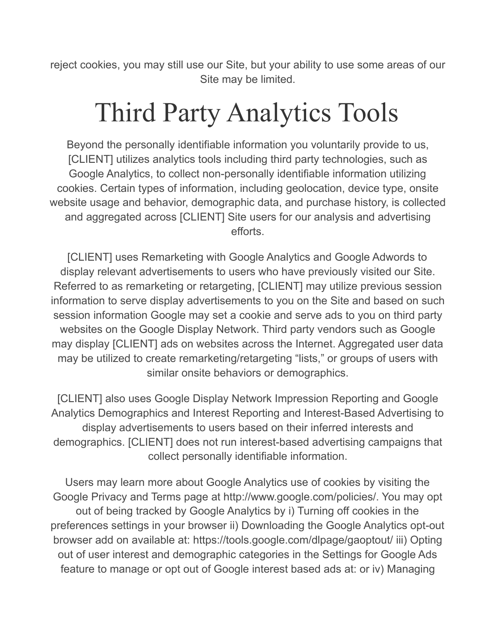reject cookies, you may still use our Site, but your ability to use some areas of our Site may be limited.

## Third Party Analytics Tools

Beyond the personally identifiable information you voluntarily provide to us, [CLIENT] utilizes analytics tools including third party technologies, such as Google Analytics, to collect non-personally identifiable information utilizing cookies. Certain types of information, including geolocation, device type, onsite website usage and behavior, demographic data, and purchase history, is collected and aggregated across [CLIENT] Site users for our analysis and advertising efforts.

[CLIENT] uses Remarketing with Google Analytics and Google Adwords to display relevant advertisements to users who have previously visited our Site. Referred to as remarketing or retargeting, [CLIENT] may utilize previous session information to serve display advertisements to you on the Site and based on such session information Google may set a cookie and serve ads to you on third party websites on the Google Display Network. Third party vendors such as Google may display [CLIENT] ads on websites across the Internet. Aggregated user data may be utilized to create remarketing/retargeting "lists," or groups of users with similar onsite behaviors or demographics.

[CLIENT] also uses Google Display Network Impression Reporting and Google Analytics Demographics and Interest Reporting and Interest-Based Advertising to display advertisements to users based on their inferred interests and demographics. [CLIENT] does not run interest-based advertising campaigns that collect personally identifiable information.

Users may learn more about Google Analytics use of cookies by visiting the Google Privacy and Terms page at http://www.google.com/policies/. You may opt out of being tracked by Google Analytics by i) Turning off cookies in the preferences settings in your browser ii) Downloading the Google Analytics opt-out browser add on available at: https://tools.google.com/dlpage/gaoptout/ iii) Opting out of user interest and demographic categories in the Settings for Google Ads feature to manage or opt out of Google interest based ads at: or iv) Managing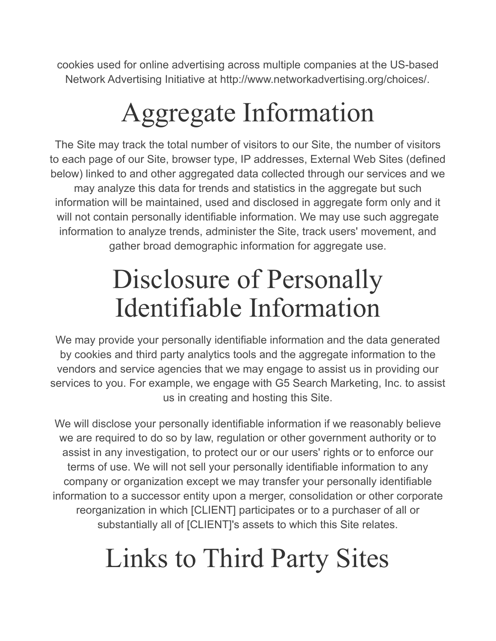cookies used for online advertising across multiple companies at the US-based Network Advertising Initiative at http://www.networkadvertising.org/choices/.

## Aggregate Information

The Site may track the total number of visitors to our Site, the number of visitors to each page of our Site, browser type, IP addresses, External Web Sites (defined below) linked to and other aggregated data collected through our services and we may analyze this data for trends and statistics in the aggregate but such information will be maintained, used and disclosed in aggregate form only and it will not contain personally identifiable information. We may use such aggregate information to analyze trends, administer the Site, track users' movement, and gather broad demographic information for aggregate use.

#### Disclosure of Personally Identifiable Information

We may provide your personally identifiable information and the data generated by cookies and third party analytics tools and the aggregate information to the vendors and service agencies that we may engage to assist us in providing our services to you. For example, we engage with G5 Search Marketing, Inc. to assist us in creating and hosting this Site.

We will disclose your personally identifiable information if we reasonably believe we are required to do so by law, regulation or other government authority or to assist in any investigation, to protect our or our users' rights or to enforce our terms of use. We will not sell your personally identifiable information to any company or organization except we may transfer your personally identifiable information to a successor entity upon a merger, consolidation or other corporate reorganization in which [CLIENT] participates or to a purchaser of all or substantially all of [CLIENT]'s assets to which this Site relates.

## Links to Third Party Sites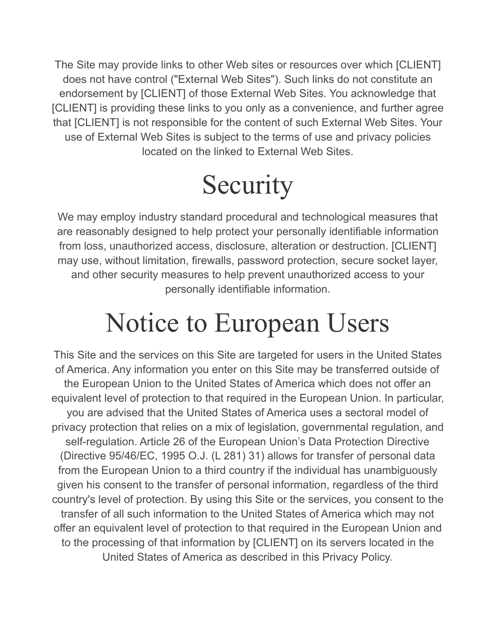The Site may provide links to other Web sites or resources over which [CLIENT] does not have control ("External Web Sites"). Such links do not constitute an endorsement by [CLIENT] of those External Web Sites. You acknowledge that [CLIENT] is providing these links to you only as a convenience, and further agree that [CLIENT] is not responsible for the content of such External Web Sites. Your use of External Web Sites is subject to the terms of use and privacy policies located on the linked to External Web Sites.

## **Security**

We may employ industry standard procedural and technological measures that are reasonably designed to help protect your personally identifiable information from loss, unauthorized access, disclosure, alteration or destruction. [CLIENT] may use, without limitation, firewalls, password protection, secure socket layer, and other security measures to help prevent unauthorized access to your personally identifiable information.

## Notice to European Users

This Site and the services on this Site are targeted for users in the United States of America. Any information you enter on this Site may be transferred outside of the European Union to the United States of America which does not offer an equivalent level of protection to that required in the European Union. In particular, you are advised that the United States of America uses a sectoral model of privacy protection that relies on a mix of legislation, governmental regulation, and self-regulation. Article 26 of the European Union's Data Protection Directive (Directive 95/46/EC, 1995 O.J. (L 281) 31) allows for transfer of personal data from the European Union to a third country if the individual has unambiguously given his consent to the transfer of personal information, regardless of the third country's level of protection. By using this Site or the services, you consent to the transfer of all such information to the United States of America which may not offer an equivalent level of protection to that required in the European Union and to the processing of that information by [CLIENT] on its servers located in the United States of America as described in this Privacy Policy.